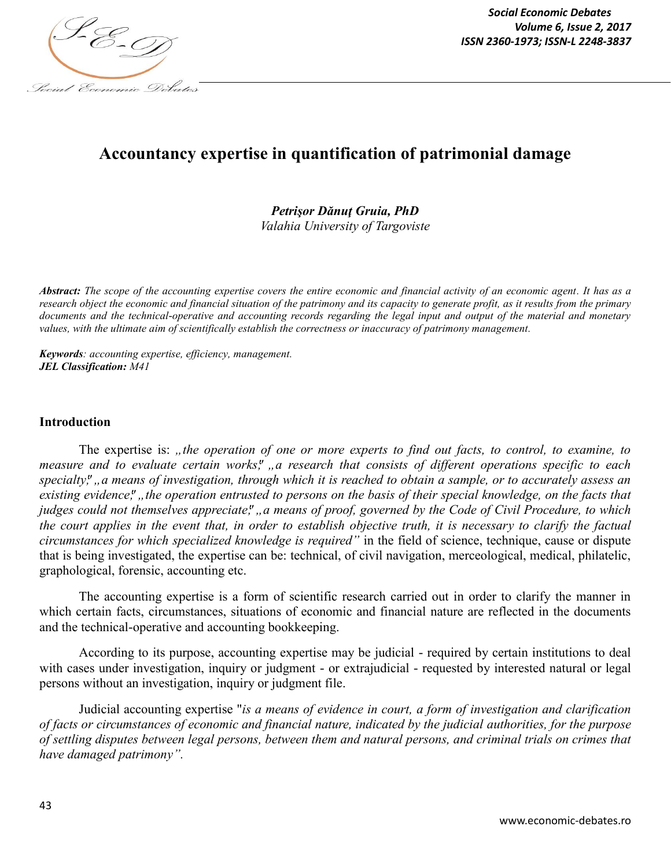

*Social Economic Debates Volume 6, Issue 2, 2017*

# **Accountancy expertise in quantification of patrimonial damage**

### *Petrişor Dănuţ Gruia, PhD Valahia University of Targoviste*

*Abstract: The scope of the accounting expertise covers the entire economic and financial activity of an economic agent. It has as a research object the economic and financial situation of the patrimony and its capacity to generate profit, as it results from the primary documents and the technical-operative and accounting records regarding the legal input and output of the material and monetary values, with the ultimate aim of scientifically establish the correctness or inaccuracy of patrimony management.* 

*Keywords: accounting expertise, efficiency, management. JEL Classification: M41*

#### **Introduction**

The expertise is: "the operation of one or more experts to find out facts, to control, to examine, to *measure and to evaluate certain works"; "a research that consists of different operations specific to each*  specialty,", a means of investigation, through which it is reached to obtain a sample, or to accurately assess an existing evidence,", the operation entrusted to persons on the basis of their special knowledge, on the facts that *judges could not themselves appreciate"; "a means of proof, governed by the Code of Civil Procedure, to which the court applies in the event that, in order to establish objective truth, it is necessary to clarify the factual circumstances for which specialized knowledge is required"* in the field of science, technique, cause or dispute that is being investigated, the expertise can be: technical, of civil navigation, merceological, medical, philatelic, graphological, forensic, accounting etc.

The accounting expertise is a form of scientific research carried out in order to clarify the manner in which certain facts, circumstances, situations of economic and financial nature are reflected in the documents and the technical-operative and accounting bookkeeping.

According to its purpose, accounting expertise may be judicial - required by certain institutions to deal with cases under investigation, inquiry or judgment - or extrajudicial - requested by interested natural or legal persons without an investigation, inquiry or judgment file.

Judicial accounting expertise "*is a means of evidence in court, a form of investigation and clarification of facts or circumstances of economic and financial nature, indicated by the judicial authorities, for the purpose of settling disputes between legal persons, between them and natural persons, and criminal trials on crimes that have damaged patrimony".*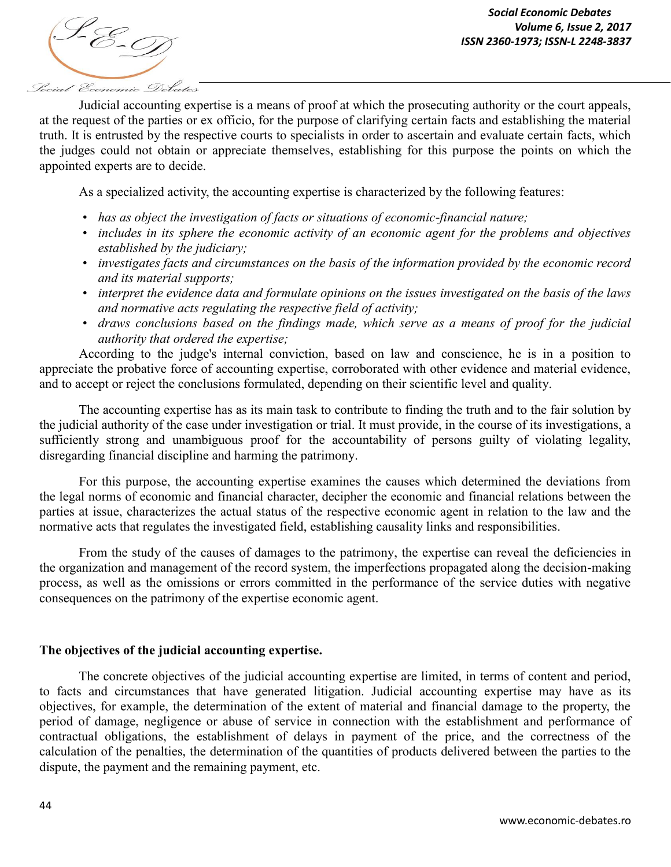

Judicial accounting expertise is a means of proof at which the prosecuting authority or the court appeals, at the request of the parties or ex officio, for the purpose of clarifying certain facts and establishing the material truth. It is entrusted by the respective courts to specialists in order to ascertain and evaluate certain facts, which the judges could not obtain or appreciate themselves, establishing for this purpose the points on which the appointed experts are to decide.

As a specialized activity, the accounting expertise is characterized by the following features:

- *has as object the investigation of facts or situations of economic-financial nature;*
- *includes in its sphere the economic activity of an economic agent for the problems and objectives established by the judiciary;*
- *investigates facts and circumstances on the basis of the information provided by the economic record and its material supports;*
- *interpret the evidence data and formulate opinions on the issues investigated on the basis of the laws and normative acts regulating the respective field of activity;*
- *draws conclusions based on the findings made, which serve as a means of proof for the judicial authority that ordered the expertise;*

According to the judge's internal conviction, based on law and conscience, he is in a position to appreciate the probative force of accounting expertise, corroborated with other evidence and material evidence, and to accept or reject the conclusions formulated, depending on their scientific level and quality.

The accounting expertise has as its main task to contribute to finding the truth and to the fair solution by the judicial authority of the case under investigation or trial. It must provide, in the course of its investigations, a sufficiently strong and unambiguous proof for the accountability of persons guilty of violating legality, disregarding financial discipline and harming the patrimony.

For this purpose, the accounting expertise examines the causes which determined the deviations from the legal norms of economic and financial character, decipher the economic and financial relations between the parties at issue, characterizes the actual status of the respective economic agent in relation to the law and the normative acts that regulates the investigated field, establishing causality links and responsibilities.

From the study of the causes of damages to the patrimony, the expertise can reveal the deficiencies in the organization and management of the record system, the imperfections propagated along the decision-making process, as well as the omissions or errors committed in the performance of the service duties with negative consequences on the patrimony of the expertise economic agent.

#### **The objectives of the judicial accounting expertise.**

The concrete objectives of the judicial accounting expertise are limited, in terms of content and period, to facts and circumstances that have generated litigation. Judicial accounting expertise may have as its objectives, for example, the determination of the extent of material and financial damage to the property, the period of damage, negligence or abuse of service in connection with the establishment and performance of contractual obligations, the establishment of delays in payment of the price, and the correctness of the calculation of the penalties, the determination of the quantities of products delivered between the parties to the dispute, the payment and the remaining payment, etc.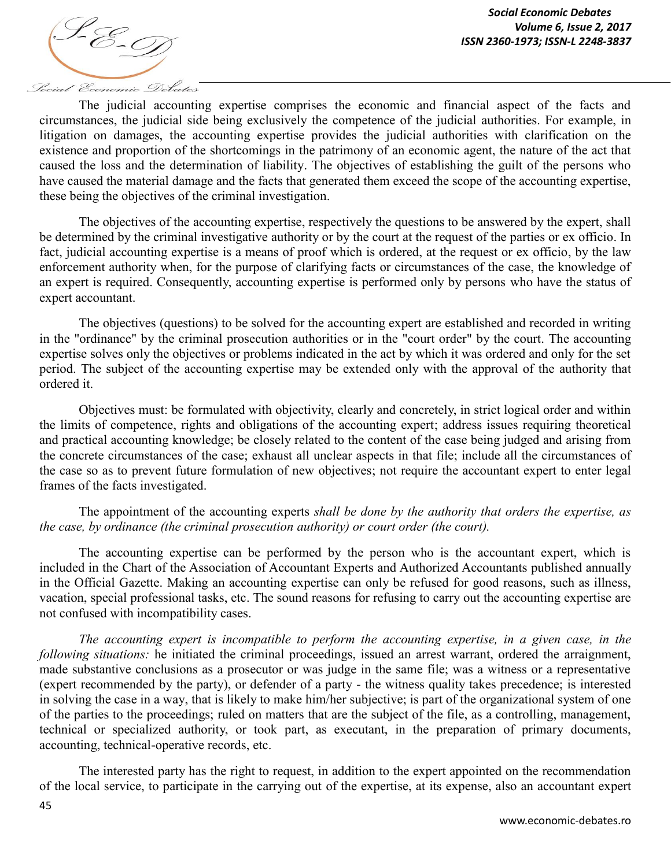

The judicial accounting expertise comprises the economic and financial aspect of the facts and circumstances, the judicial side being exclusively the competence of the judicial authorities. For example, in litigation on damages, the accounting expertise provides the judicial authorities with clarification on the existence and proportion of the shortcomings in the patrimony of an economic agent, the nature of the act that caused the loss and the determination of liability. The objectives of establishing the guilt of the persons who have caused the material damage and the facts that generated them exceed the scope of the accounting expertise, these being the objectives of the criminal investigation.

The objectives of the accounting expertise, respectively the questions to be answered by the expert, shall be determined by the criminal investigative authority or by the court at the request of the parties or ex officio. In fact, judicial accounting expertise is a means of proof which is ordered, at the request or ex officio, by the law enforcement authority when, for the purpose of clarifying facts or circumstances of the case, the knowledge of an expert is required. Consequently, accounting expertise is performed only by persons who have the status of expert accountant.

The objectives (questions) to be solved for the accounting expert are established and recorded in writing in the "ordinance" by the criminal prosecution authorities or in the "court order" by the court. The accounting expertise solves only the objectives or problems indicated in the act by which it was ordered and only for the set period. The subject of the accounting expertise may be extended only with the approval of the authority that ordered it.

Objectives must: be formulated with objectivity, clearly and concretely, in strict logical order and within the limits of competence, rights and obligations of the accounting expert; address issues requiring theoretical and practical accounting knowledge; be closely related to the content of the case being judged and arising from the concrete circumstances of the case; exhaust all unclear aspects in that file; include all the circumstances of the case so as to prevent future formulation of new objectives; not require the accountant expert to enter legal frames of the facts investigated.

The appointment of the accounting experts *shall be done by the authority that orders the expertise, as the case, by ordinance (the criminal prosecution authority) or court order (the court).*

The accounting expertise can be performed by the person who is the accountant expert, which is included in the Chart of the Association of Accountant Experts and Authorized Accountants published annually in the Official Gazette. Making an accounting expertise can only be refused for good reasons, such as illness, vacation, special professional tasks, etc. The sound reasons for refusing to carry out the accounting expertise are not confused with incompatibility cases.

*The accounting expert is incompatible to perform the accounting expertise, in a given case, in the following situations:* he initiated the criminal proceedings, issued an arrest warrant, ordered the arraignment, made substantive conclusions as a prosecutor or was judge in the same file; was a witness or a representative (expert recommended by the party), or defender of a party - the witness quality takes precedence; is interested in solving the case in a way, that is likely to make him/her subjective; is part of the organizational system of one of the parties to the proceedings; ruled on matters that are the subject of the file, as a controlling, management, technical or specialized authority, or took part, as executant, in the preparation of primary documents, accounting, technical-operative records, etc.

The interested party has the right to request, in addition to the expert appointed on the recommendation of the local service, to participate in the carrying out of the expertise, at its expense, also an accountant expert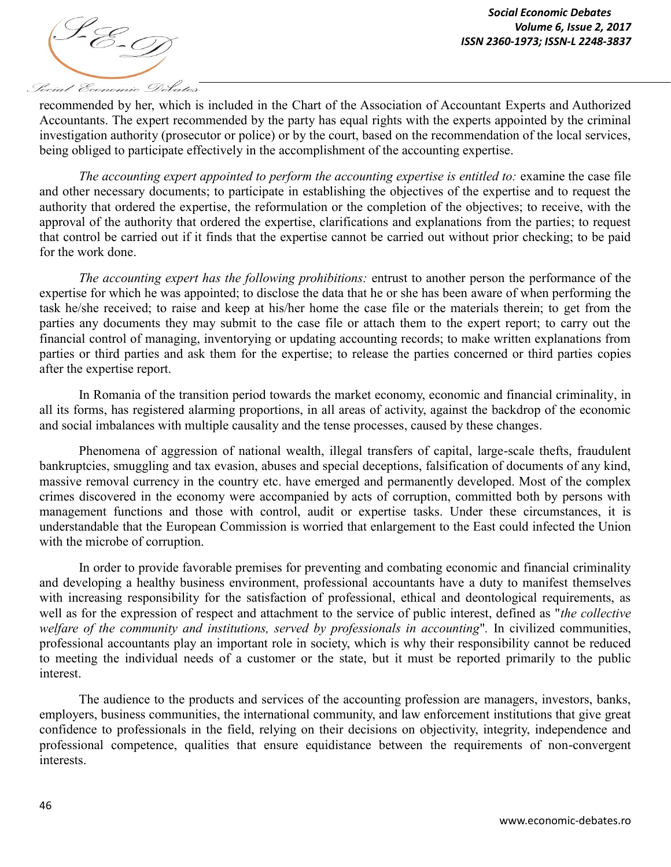

recommended by her, which is included in the Chart of the Association of Accountant Experts and Authorized Accountants. The expert recommended by the party has equal rights with the experts appointed by the criminal investigation authority (prosecutor or police) or by the court, based on the recommendation of the local services, being obliged to participate effectively in the accomplishment of the accounting expertise.

*The accounting expert appointed to perform the accounting expertise is entitled to:* examine the case file and other necessary documents; to participate in establishing the objectives of the expertise and to request the authority that ordered the expertise, the reformulation or the completion of the objectives; to receive, with the approval of the authority that ordered the expertise, clarifications and explanations from the parties; to request that control be carried out if it finds that the expertise cannot be carried out without prior checking; to be paid for the work done.

*The accounting expert has the following prohibitions:* entrust to another person the performance of the expertise for which he was appointed; to disclose the data that he or she has been aware of when performing the task he/she received; to raise and keep at his/her home the case file or the materials therein; to get from the parties any documents they may submit to the case file or attach them to the expert report; to carry out the financial control of managing, inventorying or updating accounting records; to make written explanations from parties or third parties and ask them for the expertise; to release the parties concerned or third parties copies after the expertise report.

In Romania of the transition period towards the market economy, economic and financial criminality, in all its forms, has registered alarming proportions, in all areas of activity, against the backdrop of the economic and social imbalances with multiple causality and the tense processes, caused by these changes.

Phenomena of aggression of national wealth, illegal transfers of capital, large-scale thefts, fraudulent bankruptcies, smuggling and tax evasion, abuses and special deceptions, falsification of documents of any kind, massive removal currency in the country etc. have emerged and permanently developed. Most of the complex crimes discovered in the economy were accompanied by acts of corruption, committed both by persons with management functions and those with control, audit or expertise tasks. Under these circumstances, it is understandable that the European Commission is worried that enlargement to the East could infected the Union with the microbe of corruption.

In order to provide favorable premises for preventing and combating economic and financial criminality and developing a healthy business environment, professional accountants have a duty to manifest themselves with increasing responsibility for the satisfaction of professional, ethical and deontological requirements, as well as for the expression of respect and attachment to the service of public interest, defined as "*the collective welfare of the community and institutions, served by professionals in accounting*"*.* In civilized communities, professional accountants play an important role in society, which is why their responsibility cannot be reduced to meeting the individual needs of a customer or the state, but it must be reported primarily to the public interest.

The audience to the products and services of the accounting profession are managers, investors, banks, employers, business communities, the international community, and law enforcement institutions that give great confidence to professionals in the field, relying on their decisions on objectivity, integrity, independence and professional competence, qualities that ensure equidistance between the requirements of non-convergent interests.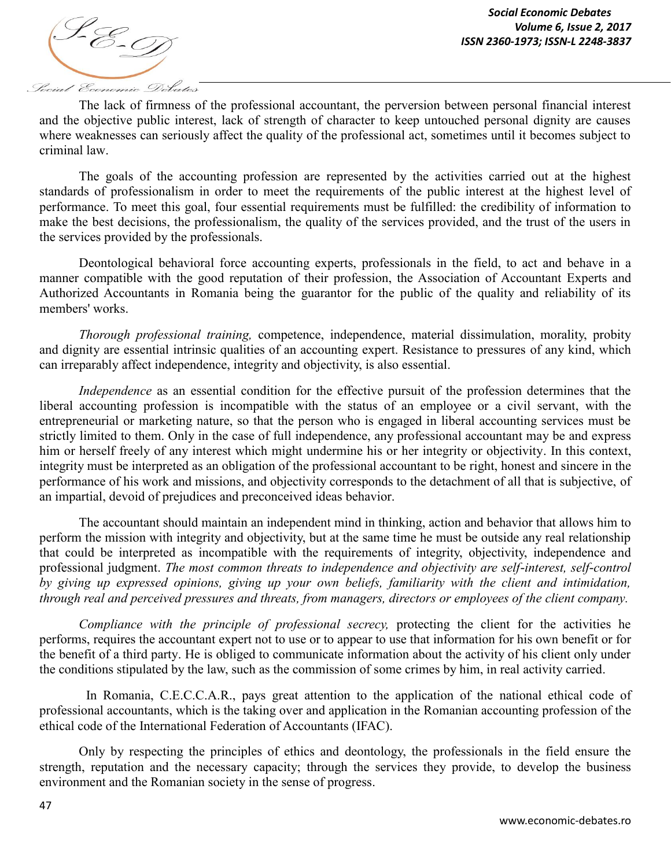

The lack of firmness of the professional accountant, the perversion between personal financial interest and the objective public interest, lack of strength of character to keep untouched personal dignity are causes where weaknesses can seriously affect the quality of the professional act, sometimes until it becomes subject to criminal law.

The goals of the accounting profession are represented by the activities carried out at the highest standards of professionalism in order to meet the requirements of the public interest at the highest level of performance. To meet this goal, four essential requirements must be fulfilled: the credibility of information to make the best decisions, the professionalism, the quality of the services provided, and the trust of the users in the services provided by the professionals.

Deontological behavioral force accounting experts, professionals in the field, to act and behave in a manner compatible with the good reputation of their profession, the Association of Accountant Experts and Authorized Accountants in Romania being the guarantor for the public of the quality and reliability of its members' works.

*Thorough professional training,* competence, independence, material dissimulation, morality, probity and dignity are essential intrinsic qualities of an accounting expert. Resistance to pressures of any kind, which can irreparably affect independence, integrity and objectivity, is also essential.

*Independence* as an essential condition for the effective pursuit of the profession determines that the liberal accounting profession is incompatible with the status of an employee or a civil servant, with the entrepreneurial or marketing nature, so that the person who is engaged in liberal accounting services must be strictly limited to them. Only in the case of full independence, any professional accountant may be and express him or herself freely of any interest which might undermine his or her integrity or objectivity. In this context, integrity must be interpreted as an obligation of the professional accountant to be right, honest and sincere in the performance of his work and missions, and objectivity corresponds to the detachment of all that is subjective, of an impartial, devoid of prejudices and preconceived ideas behavior.

The accountant should maintain an independent mind in thinking, action and behavior that allows him to perform the mission with integrity and objectivity, but at the same time he must be outside any real relationship that could be interpreted as incompatible with the requirements of integrity, objectivity, independence and professional judgment. *The most common threats to independence and objectivity are self-interest, self-control by giving up expressed opinions, giving up your own beliefs, familiarity with the client and intimidation, through real and perceived pressures and threats, from managers, directors or employees of the client company.*

*Compliance with the principle of professional secrecy,* protecting the client for the activities he performs, requires the accountant expert not to use or to appear to use that information for his own benefit or for the benefit of a third party. He is obliged to communicate information about the activity of his client only under the conditions stipulated by the law, such as the commission of some crimes by him, in real activity carried.

In Romania, C.E.C.C.A.R., pays great attention to the application of the national ethical code of professional accountants, which is the taking over and application in the Romanian accounting profession of the ethical code of the International Federation of Accountants (IFAC).

Only by respecting the principles of ethics and deontology, the professionals in the field ensure the strength, reputation and the necessary capacity; through the services they provide, to develop the business environment and the Romanian society in the sense of progress.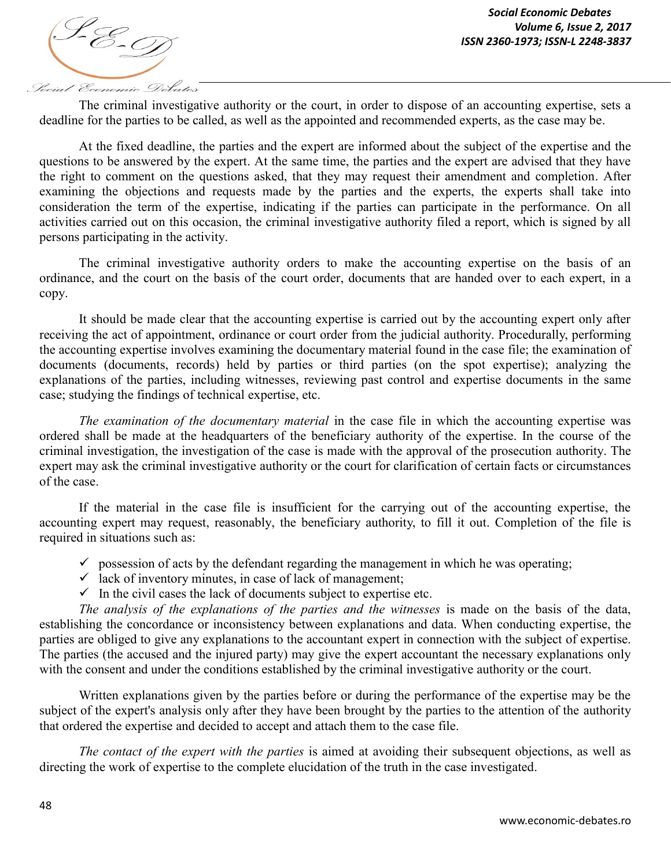

The criminal investigative authority or the court, in order to dispose of an accounting expertise, sets a deadline for the parties to be called, as well as the appointed and recommended experts, as the case may be.

At the fixed deadline, the parties and the expert are informed about the subject of the expertise and the questions to be answered by the expert. At the same time, the parties and the expert are advised that they have the right to comment on the questions asked, that they may request their amendment and completion. After examining the objections and requests made by the parties and the experts, the experts shall take into consideration the term of the expertise, indicating if the parties can participate in the performance. On all activities carried out on this occasion, the criminal investigative authority filed a report, which is signed by all persons participating in the activity.

The criminal investigative authority orders to make the accounting expertise on the basis of an ordinance, and the court on the basis of the court order, documents that are handed over to each expert, in a copy.

It should be made clear that the accounting expertise is carried out by the accounting expert only after receiving the act of appointment, ordinance or court order from the judicial authority. Procedurally, performing the accounting expertise involves examining the documentary material found in the case file; the examination of documents (documents, records) held by parties or third parties (on the spot expertise); analyzing the explanations of the parties, including witnesses, reviewing past control and expertise documents in the same case; studying the findings of technical expertise, etc.

*The examination of the documentary material* in the case file in which the accounting expertise was ordered shall be made at the headquarters of the beneficiary authority of the expertise. In the course of the criminal investigation, the investigation of the case is made with the approval of the prosecution authority. The expert may ask the criminal investigative authority or the court for clarification of certain facts or circumstances of the case.

If the material in the case file is insufficient for the carrying out of the accounting expertise, the accounting expert may request, reasonably, the beneficiary authority, to fill it out. Completion of the file is required in situations such as:

- $\checkmark$  possession of acts by the defendant regarding the management in which he was operating;
- $\checkmark$  lack of inventory minutes, in case of lack of management;
- $\checkmark$  In the civil cases the lack of documents subject to expertise etc.

*The analysis of the explanations of the parties and the witnesses* is made on the basis of the data, establishing the concordance or inconsistency between explanations and data. When conducting expertise, the parties are obliged to give any explanations to the accountant expert in connection with the subject of expertise. The parties (the accused and the injured party) may give the expert accountant the necessary explanations only with the consent and under the conditions established by the criminal investigative authority or the court.

Written explanations given by the parties before or during the performance of the expertise may be the subject of the expert's analysis only after they have been brought by the parties to the attention of the authority that ordered the expertise and decided to accept and attach them to the case file.

*The contact of the expert with the parties* is aimed at avoiding their subsequent objections, as well as directing the work of expertise to the complete elucidation of the truth in the case investigated.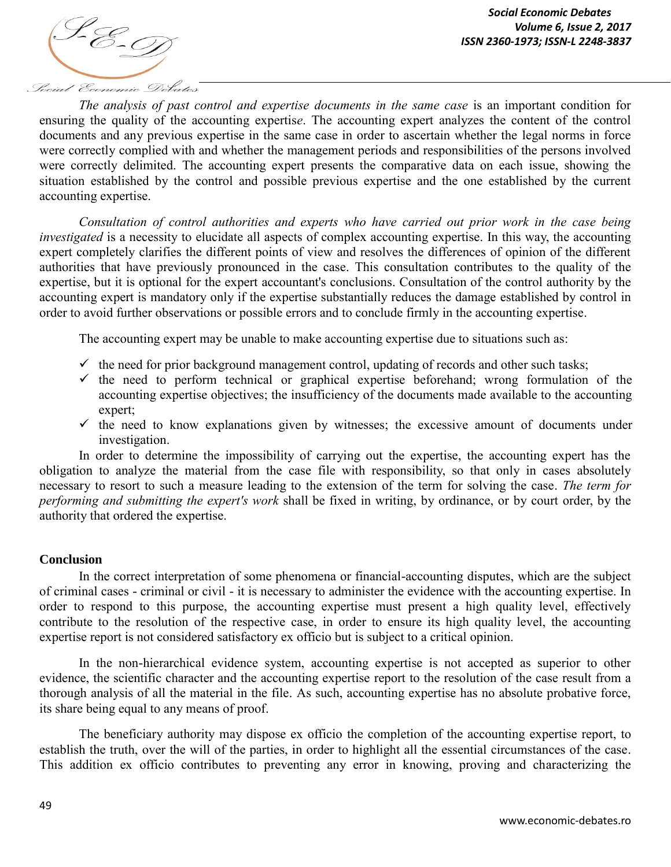

*The analysis of past control and expertise documents in the same case* is an important condition for ensuring the quality of the accounting expertis*e*. The accounting expert analyzes the content of the control documents and any previous expertise in the same case in order to ascertain whether the legal norms in force were correctly complied with and whether the management periods and responsibilities of the persons involved were correctly delimited. The accounting expert presents the comparative data on each issue, showing the situation established by the control and possible previous expertise and the one established by the current accounting expertise.

*Consultation of control authorities and experts who have carried out prior work in the case being investigated* is a necessity to elucidate all aspects of complex accounting expertise. In this way, the accounting expert completely clarifies the different points of view and resolves the differences of opinion of the different authorities that have previously pronounced in the case. This consultation contributes to the quality of the expertise, but it is optional for the expert accountant's conclusions. Consultation of the control authority by the accounting expert is mandatory only if the expertise substantially reduces the damage established by control in order to avoid further observations or possible errors and to conclude firmly in the accounting expertise.

The accounting expert may be unable to make accounting expertise due to situations such as:

- $\checkmark$  the need for prior background management control, updating of records and other such tasks;
- $\checkmark$  the need to perform technical or graphical expertise beforehand; wrong formulation of the accounting expertise objectives; the insufficiency of the documents made available to the accounting expert;
- $\checkmark$  the need to know explanations given by witnesses; the excessive amount of documents under investigation.

In order to determine the impossibility of carrying out the expertise, the accounting expert has the obligation to analyze the material from the case file with responsibility, so that only in cases absolutely necessary to resort to such a measure leading to the extension of the term for solving the case. *The term for performing and submitting the expert's work* shall be fixed in writing, by ordinance, or by court order, by the authority that ordered the expertise.

#### **Conclusion**

In the correct interpretation of some phenomena or financial-accounting disputes, which are the subject of criminal cases - criminal or civil - it is necessary to administer the evidence with the accounting expertise. In order to respond to this purpose, the accounting expertise must present a high quality level, effectively contribute to the resolution of the respective case, in order to ensure its high quality level, the accounting expertise report is not considered satisfactory ex officio but is subject to a critical opinion.

In the non-hierarchical evidence system, accounting expertise is not accepted as superior to other evidence, the scientific character and the accounting expertise report to the resolution of the case result from a thorough analysis of all the material in the file. As such, accounting expertise has no absolute probative force, its share being equal to any means of proof.

The beneficiary authority may dispose ex officio the completion of the accounting expertise report, to establish the truth, over the will of the parties, in order to highlight all the essential circumstances of the case. This addition ex officio contributes to preventing any error in knowing, proving and characterizing the